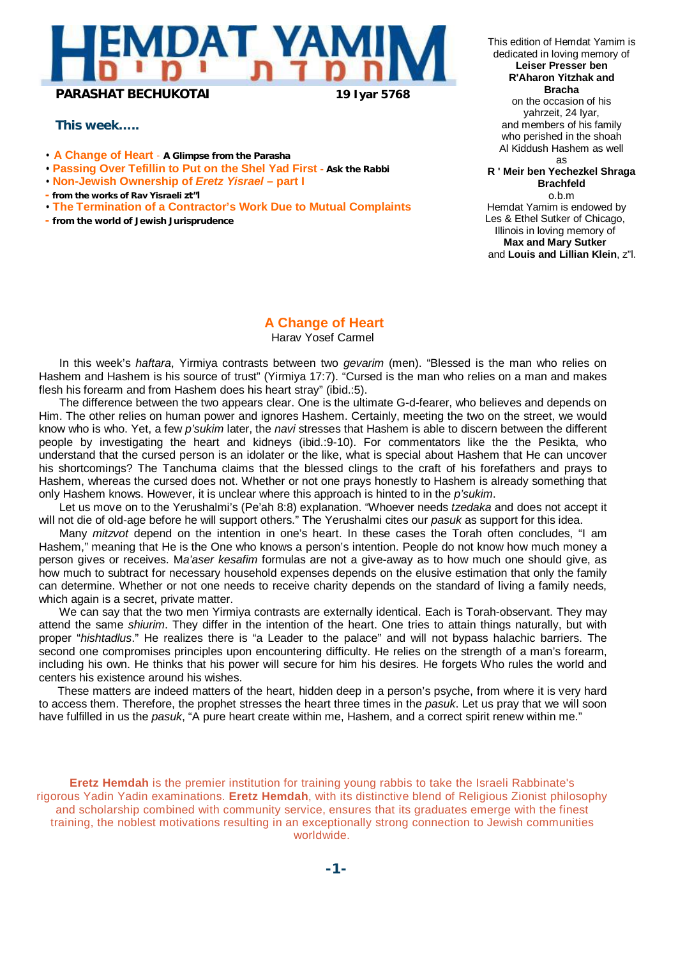

*This week…..*

- **A Change of Heart A Glimpse from the Parasha**
- **Passing Over Tefillin to Put on the Shel Yad First Ask the Rabbi**
- **Non-Jewish Ownership of** *Eretz Yisrael*  **part I**
- **- from the works of Rav Yisraeli zt"l**
- **The Termination of a Contractor's Work Due to Mutual Complaints**
- **- from the world of Jewish Jurisprudence**

This edition of Hemdat Yamim is dedicated in loving memory of **Leiser Presser ben R'Aharon Yitzhak and Bracha** on the occasion of his yahrzeit, 24 Iyar, and members of his family who perished in the shoah Al Kiddush Hashem as well as **R ' Meir ben Yechezkel Shraga Brachfeld** o.b.m Hemdat Yamim is endowed by Les & Ethel Sutker of Chicago, Illinois in loving memory of **Max and Mary Sutker**

and **Louis and Lillian Klein**, z"l.

**A Change of Heart**

Harav Yosef Carmel

In this week's *haftara*, Yirmiya contrasts between two *gevarim* (men). "Blessed is the man who relies on Hashem and Hashem is his source of trust" (Yirmiya 17:7). "Cursed is the man who relies on a man and makes flesh his forearm and from Hashem does his heart stray" (ibid.:5).

The difference between the two appears clear. One is the ultimate G-d-fearer, who believes and depends on Him. The other relies on human power and ignores Hashem. Certainly, meeting the two on the street, we would know who is who. Yet, a few *p'sukim* later, the *navi* stresses that Hashem is able to discern between the different people by investigating the heart and kidneys (ibid.:9-10). For commentators like the the Pesikta, who understand that the cursed person is an idolater or the like, what is special about Hashem that He can uncover his shortcomings? The Tanchuma claims that the blessed clings to the craft of his forefathers and prays to Hashem, whereas the cursed does not. Whether or not one prays honestly to Hashem is already something that only Hashem knows. However, it is unclear where this approach is hinted to in the *p'sukim*.

Let us move on to the Yerushalmi's (Pe'ah 8:8) explanation. "Whoever needs *tzedaka* and does not accept it will not die of old-age before he will support others." The Yerushalmi cites our *pasuk* as support for this idea.

Many *mitzvot* depend on the intention in one's heart. In these cases the Torah often concludes, "I am Hashem," meaning that He is the One who knows a person's intention. People do not know how much money a person gives or receives. M*a'aser kesafim* formulas are not a give-away as to how much one should give, as how much to subtract for necessary household expenses depends on the elusive estimation that only the family can determine. Whether or not one needs to receive charity depends on the standard of living a family needs, which again is a secret, private matter.

We can say that the two men Yirmiya contrasts are externally identical. Each is Torah-observant. They may attend the same *shiurim*. They differ in the intention of the heart. One tries to attain things naturally, but with proper "*hishtadlus*." He realizes there is "a Leader to the palace" and will not bypass halachic barriers. The second one compromises principles upon encountering difficulty. He relies on the strength of a man's forearm, including his own. He thinks that his power will secure for him his desires. He forgets Who rules the world and centers his existence around his wishes.

These matters are indeed matters of the heart, hidden deep in a person's psyche, from where it is very hard to access them. Therefore, the prophet stresses the heart three times in the *pasuk*. Let us pray that we will soon have fulfilled in us the *pasuk*, "A pure heart create within me, Hashem, and a correct spirit renew within me."

**Eretz Hemdah** is the premier institution for training young rabbis to take the Israeli Rabbinate's rigorous Yadin Yadin examinations. **Eretz Hemdah**, with its distinctive blend of Religious Zionist philosophy and scholarship combined with community service, ensures that its graduates emerge with the finest training, the noblest motivations resulting in an exceptionally strong connection to Jewish communities worldwide.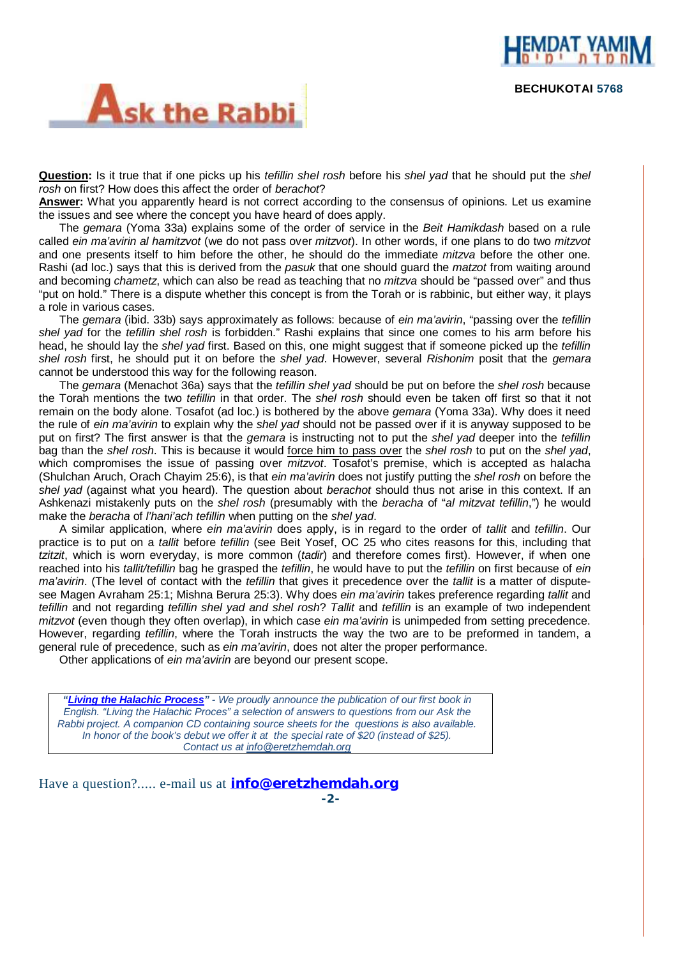



**Question:** Is it true that if one picks up his *tefillin shel rosh* before his *shel yad* that he should put the *shel rosh* on first? How does this affect the order of *berachot*?

**Answer:** What you apparently heard is not correct according to the consensus of opinions. Let us examine the issues and see where the concept you have heard of does apply.

The *gemara* (Yoma 33a) explains some of the order of service in the *Beit Hamikdash* based on a rule called *ein ma'avirin al hamitzvot* (we do not pass over *mitzvot*). In other words, if one plans to do two *mitzvot*  and one presents itself to him before the other, he should do the immediate *mitzva* before the other one. Rashi (ad loc.) says that this is derived from the *pasuk* that one should guard the *matzot* from waiting around and becoming *chametz*, which can also be read as teaching that no *mitzva* should be "passed over" and thus "put on hold." There is a dispute whether this concept is from the Torah or is rabbinic, but either way, it plays a role in various cases.

The *gemara* (ibid. 33b) says approximately as follows: because of *ein ma'avirin*, "passing over the *tefillin shel yad* for the *tefillin shel rosh* is forbidden." Rashi explains that since one comes to his arm before his head, he should lay the *shel yad* first. Based on this, one might suggest that if someone picked up the *tefillin shel rosh* first, he should put it on before the *shel yad*. However, several *Rishonim* posit that the *gemara* cannot be understood this way for the following reason.

The *gemara* (Menachot 36a) says that the *tefillin shel yad* should be put on before the *shel rosh* because the Torah mentions the two *tefillin* in that order. The *shel rosh* should even be taken off first so that it not remain on the body alone. Tosafot (ad loc.) is bothered by the above *gemara* (Yoma 33a). Why does it need the rule of *ein ma'avirin* to explain why the *shel yad* should not be passed over if it is anyway supposed to be put on first? The first answer is that the *gemara* is instructing not to put the *shel yad* deeper into the *tefillin* bag than the *shel rosh*. This is because it would force him to pass over the *shel rosh* to put on the *shel yad*, which compromises the issue of passing over *mitzvot*. Tosafot's premise, which is accepted as halacha (Shulchan Aruch, Orach Chayim 25:6), is that *ein ma'avirin* does not justify putting the *shel rosh* on before the *shel yad* (against what you heard). The question about *berachot* should thus not arise in this context. If an Ashkenazi mistakenly puts on the *shel rosh* (presumably with the *beracha* of "*al mitzvat tefillin*,") he would make the *beracha* of *l'hani'ach tefillin* when putting on the *shel yad*.

A similar application, where *ein ma'avirin* does apply, is in regard to the order of *tallit* and *tefillin*. Our practice is to put on a *tallit* before *tefillin* (see Beit Yosef, OC 25 who cites reasons for this, including that *tzitzit*, which is worn everyday, is more common (*tadir*) and therefore comes first). However, if when one reached into his *tallit/tefillin* bag he grasped the *tefillin*, he would have to put the *tefillin* on first because of *ein ma'avirin*. (The level of contact with the *tefillin* that gives it precedence over the *tallit* is a matter of disputesee Magen Avraham 25:1; Mishna Berura 25:3). Why does *ein ma'avirin* takes preference regarding *tallit* and *tefillin* and not regarding *tefillin shel yad and shel rosh*? *Tallit* and *tefillin* is an example of two independent *mitzvot* (even though they often overlap), in which case *ein ma'avirin* is unimpeded from setting precedence. However, regarding *tefillin*, where the Torah instructs the way the two are to be preformed in tandem, a general rule of precedence, such as *ein ma'avirin*, does not alter the proper performance.

Other applications of *ein ma'avirin* are beyond our present scope.

*"Living the Halachic Process" - We proudly announce the publication of our first book in English. "Living the Halachic Proces" a selection of answers to questions from our Ask the Rabbi project. A companion CD containing source sheets for the questions is also available. In honor of the book's debut we offer it at the special rate of \$20 (instead of \$25). Contact us at [info@eretzhemdah.org](mailto:info@eretzhemdah.org)*

Have a question?..... e-mail us at **[info@eretzhemdah.org](mailto:info@eretzhemdah.org) -2-**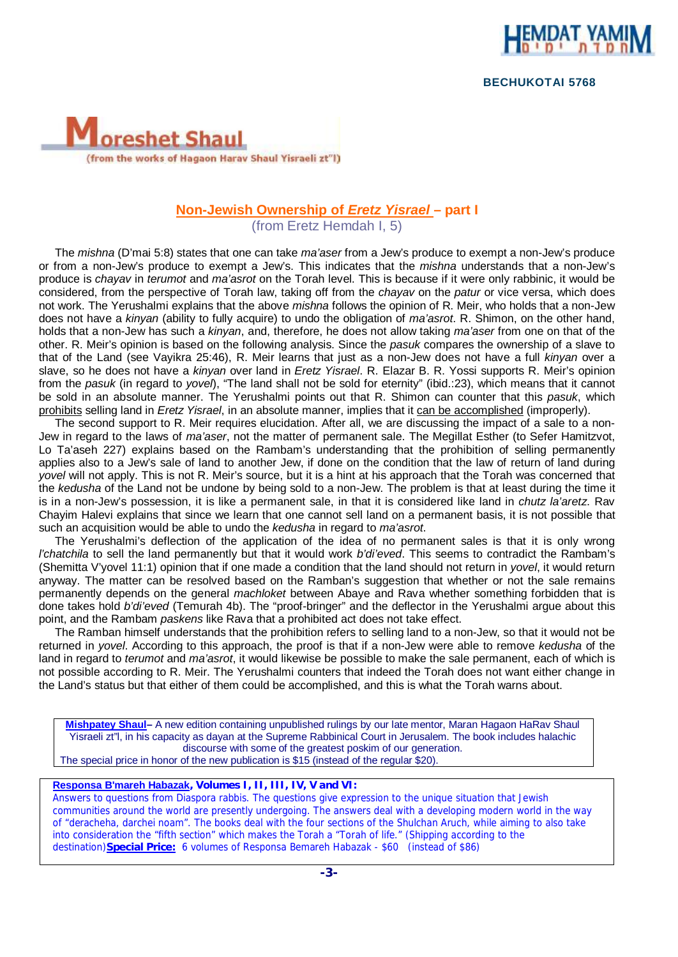

 **BECHUKOTAI 5768** 



## **Non-Jewish Ownership of** *Eretz Yisrael* **– part I**

(from Eretz Hemdah I, 5)

The *mishna* (D'mai 5:8) states that one can take *ma'aser* from a Jew's produce to exempt a non-Jew's produce or from a non-Jew's produce to exempt a Jew's. This indicates that the *mishna* understands that a non-Jew's produce is *chayav* in *terumot* and *ma'asrot* on the Torah level. This is because if it were only rabbinic, it would be considered, from the perspective of Torah law, taking off from the *chayav* on the *patur* or vice versa, which does not work. The Yerushalmi explains that the above *mishna* follows the opinion of R. Meir, who holds that a non-Jew does not have a *kinyan* (ability to fully acquire) to undo the obligation of *ma'asrot*. R. Shimon, on the other hand, holds that a non-Jew has such a *kinyan*, and, therefore, he does not allow taking *ma'aser* from one on that of the other. R. Meir's opinion is based on the following analysis. Since the *pasuk* compares the ownership of a slave to that of the Land (see Vayikra 25:46), R. Meir learns that just as a non-Jew does not have a full *kinyan* over a slave, so he does not have a *kinyan* over land in *Eretz Yisrael*. R. Elazar B. R. Yossi supports R. Meir's opinion from the *pasuk* (in regard to *yovel*), "The land shall not be sold for eternity" (ibid.:23), which means that it cannot be sold in an absolute manner. The Yerushalmi points out that R. Shimon can counter that this *pasuk*, which prohibits selling land in *Eretz Yisrael*, in an absolute manner, implies that it can be accomplished (improperly).

The second support to R. Meir requires elucidation. After all, we are discussing the impact of a sale to a non-Jew in regard to the laws of *ma'aser*, not the matter of permanent sale. The Megillat Esther (to Sefer Hamitzvot, Lo Ta'aseh 227) explains based on the Rambam's understanding that the prohibition of selling permanently applies also to a Jew's sale of land to another Jew, if done on the condition that the law of return of land during *yovel* will not apply. This is not R. Meir's source, but it is a hint at his approach that the Torah was concerned that the *kedusha* of the Land not be undone by being sold to a non-Jew. The problem is that at least during the time it is in a non-Jew's possession, it is like a permanent sale, in that it is considered like land in *chutz la'aretz*. Rav Chayim Halevi explains that since we learn that one cannot sell land on a permanent basis, it is not possible that such an acquisition would be able to undo the *kedusha* in regard to *ma'asrot*.

The Yerushalmi's deflection of the application of the idea of no permanent sales is that it is only wrong *l'chatchila* to sell the land permanently but that it would work *b'di'eved*. This seems to contradict the Rambam's (Shemitta V'yovel 11:1) opinion that if one made a condition that the land should not return in *yovel*, it would return anyway. The matter can be resolved based on the Ramban's suggestion that whether or not the sale remains permanently depends on the general *machloket* between Abaye and Rava whether something forbidden that is done takes hold *b'di'eved* (Temurah 4b). The "proof-bringer" and the deflector in the Yerushalmi argue about this point, and the Rambam *paskens* like Rava that a prohibited act does not take effect.

The Ramban himself understands that the prohibition refers to selling land to a non-Jew, so that it would not be returned in *yovel*. According to this approach, the proof is that if a non-Jew were able to remove *kedusha* of the land in regard to *terumot* and *ma'asrot*, it would likewise be possible to make the sale permanent, each of which is not possible according to R. Meir. The Yerushalmi counters that indeed the Torah does not want either change in the Land's status but that either of them could be accomplished, and this is what the Torah warns about.

**Mishpatey Shaul–** A new edition containing unpublished rulings by our late mentor, Maran Hagaon HaRav Shaul Yisraeli zt"l, in his capacity as dayan at the Supreme Rabbinical Court in Jerusalem. The book includes halachic discourse with some of the greatest poskim of our generation. The special price in honor of the new publication is \$15 (instead of the regular \$20).

**Responsa B'mareh Habazak***, Volumes I, II, III, IV, V and VI:* 

Answers to questions from Diaspora rabbis. The questions give expression to the unique situation that Jewish communities around the world are presently undergoing. The answers deal with a developing modern world in the way of "deracheha, darchei noam". The books deal with the four sections of the Shulchan Aruch, while aiming to also take into consideration the "fifth section" which makes the Torah a "Torah of life." (Shipping according to the destination)**Special Price:** 6 volumes of Responsa Bemareh Habazak - \$60 (instead of \$86)